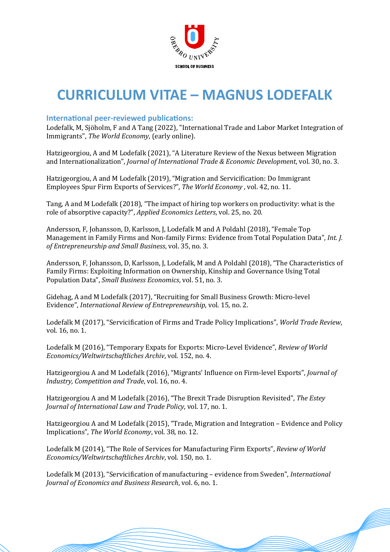

# **CURRICULUM VITAE – MAGNUS LODEFALK**

# **International peer-reviewed publications:**

Lodefalk, M, Sjöholm, F and A Tang (2022), "International Trade and Labor Market Integration of Immigrants", *The World Economy*, (early online).

Hatzigeorgiou, A and M Lodefalk (2021), "A Literature Review of the Nexus between Migration and Internationalization", *Journal of International Trade & Economic Development*, vol. 30, no. 3.

Hatzigeorgiou, A and M Lodefalk (2019), "Migration and Servicification: Do Immigrant Employees Spur Firm Exports of Services?", *The World Economy*, vol. 42, no. 11.

Tang, A and M Lodefalk (2018), "The impact of hiring top workers on productivity: what is the role of absorptive capacity?", *Applied Economics Letters*, vol. 25, no. 20.

Andersson, F, Johansson, D, Karlsson, J, Lodefalk M and A Poldahl (2018), "Female Top Management in Family Firms and Non-family Firms: Evidence from Total Population Data", *Int. J. of Entrepreneurship and Small Business*, vol. 35, no. 3.

Andersson, F, Johansson, D, Karlsson, J, Lodefalk, M and A Poldahl (2018), "The Characteristics of Family Firms: Exploiting Information on Ownership, Kinship and Governance Using Total Population Data", *Small Business Economics*, vol. 51, no. 3.

Gidehag, A and M Lodefalk (2017), "Recruiting for Small Business Growth: Micro-level Evidence", *International Review of Entrepreneurship*, vol. 15, no. 2.

Lodefalk M (2017), "Servicification of Firms and Trade Policy Implications", *World Trade Review*, vol. 16, no. 1.

Lodefalk M (2016), "Temporary Expats for Exports: Micro-Level Evidence", *Review of World Economics/Weltwirtschaftliches Archiv*, vol. 152, no. 4.

Hatzigeorgiou A and M Lodefalk (2016), "Migrants' Influence on Firm-level Exports", *Journal of Industry, Competition and Trade, vol.* 16, no. 4.

Hatzigeorgiou A and M Lodefalk (2016), "The Brexit Trade Disruption Revisited", The Estey *Journal of International Law and Trade Policy, vol.* 17, no. 1.

Hatzigeorgiou A and M Lodefalk (2015), "Trade, Migration and Integration - Evidence and Policy Implications", The World Economy, vol. 38, no. 12.

Lodefalk M (2014), "The Role of Services for Manufacturing Firm Exports", *Review of World Economics/Weltwirtschaftliches Archiv*, vol. 150, no. 1.

Lodefalk M (2013), "Servicification of manufacturing - evidence from Sweden", *International Journal of Economics and Business Research, vol.* 6, no. 1.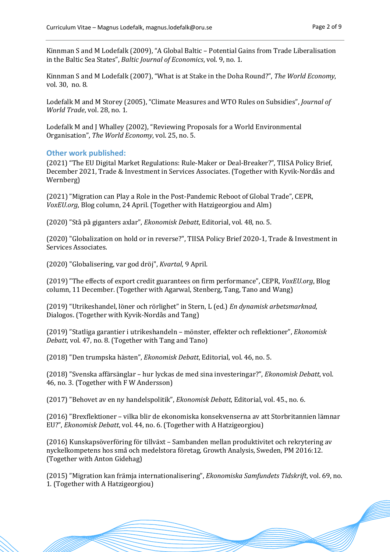Kinnman S and M Lodefalk (2009), "A Global Baltic - Potential Gains from Trade Liberalisation in the Baltic Sea States", *Baltic Journal of Economics*, vol. 9, no. 1.

Kinnman S and M Lodefalk (2007), "What is at Stake in the Doha Round?", *The World Economy*, vol. 30, no. 8.

Lodefalk M and M Storey (2005), "Climate Measures and WTO Rules on Subsidies", *Journal of World Trade*, vol. 28, no. 1.

Lodefalk M and J Whalley (2002), "Reviewing Proposals for a World Environmental Organisation", *The World Economy*, vol. 25, no. 5.

#### **Other work published:**

(2021) "The EU Digital Market Regulations: Rule-Maker or Deal-Breaker?", TIISA Policy Brief, December 2021, Trade & Investment in Services Associates. (Together with Kyvik-Nordås and Wernberg)

(2021) "Migration can Play a Role in the Post-Pandemic Reboot of Global Trade", CEPR, *VoxEU.org*, Blog column, 24 April. (Together with Hatzigeorgiou and Alm)

(2020) "Stå på giganters axlar", *Ekonomisk Debatt*, Editorial, vol. 48, no. 5.

(2020) "Globalization on hold or in reverse?", TIISA Policy Brief 2020-1, Trade & Investment in Services Associates.

(2020) "Globalisering, var god dröj", *Kvartal*, 9 April.

(2019) "The effects of export credit guarantees on firm performance", CEPR, *VoxEU.org*, Blog column, 11 December. (Together with Agarwal, Stenberg, Tang, Tano and Wang)

(2019) "Utrikeshandel, löner och rörlighet" in Stern, L (ed.) *En dynamisk arbetsmarknad*, Dialogos. (Together with Kyvik-Nordås and Tang)

(2019) "Statliga garantier i utrikeshandeln – mönster, effekter och reflektioner", *Ekonomisk Debatt*, vol. 47, no. 8. (Together with Tang and Tano)

(2018) "Den trumpska hästen", *Ekonomisk Debatt*, Editorial, vol. 46, no. 5.

(2018) "Svenska affärsänglar – hur lyckas de med sina investeringar?", *Ekonomisk Debatt*, vol. 46, no. 3. (Together with F W Andersson)

(2017) "Behovet av en ny handelspolitik", *Ekonomisk Debatt*, Editorial, vol. 45., no. 6.

(2016) "Brexflektioner – vilka blir de ekonomiska konsekvenserna av att Storbritannien lämnar EU?", *Ekonomisk Debatt*, vol. 44, no. 6. (Together with A Hatzigeorgiou)

(2016) Kunskapsöverföring för tillväxt – Sambanden mellan produktivitet och rekrytering av nyckelkompetens hos små och medelstora företag, Growth Analysis, Sweden, PM 2016:12. (Together with Anton Gidehag)

(2015) "Migration kan främja internationalisering", *Ekonomiska Samfundets Tidskrift*, vol. 69, no. 1. (Together with A Hatzigeorgiou)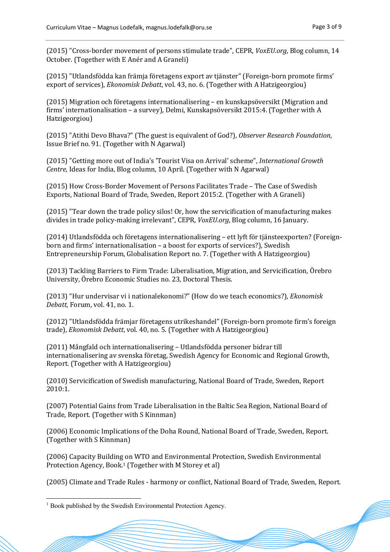(2015) "Cross-border movement of persons stimulate trade", CEPR, *VoxEU.org*, Blog column, 14 October. (Together with E Anér and A Graneli)

(2015) "Utlandsfödda kan främia företagens export av tjänster" (Foreign-born promote firms' export of services), *Ekonomisk Debatt*, vol. 43, no. 6. (Together with A Hatzigeorgiou)

(2015) Migration och företagens internationalisering – en kunskapsöversikt (Migration and firms' internationalisation - a survey), Delmi, Kunskapsöversikt 2015:4. (Together with A Hatzigeorgiou)

(2015) "Atithi Devo Bhava?" (The guest is equivalent of God?), *Observer Research Foundation*, Issue Brief no. 91. (Together with N Agarwal)

(2015) "Getting more out of India's 'Tourist Visa on Arrival' scheme", *International Growth Centre*, Ideas for India, Blog column, 10 April. (Together with N Agarwal)

(2015) How Cross-Border Movement of Persons Facilitates Trade - The Case of Swedish Exports, National Board of Trade, Sweden, Report 2015:2. (Together with A Graneli)

(2015) "Tear down the trade policy silos! Or, how the servicification of manufacturing makes divides in trade policy-making irrelevant", CEPR, *VoxEU.org*, Blog column, 16 January.

(2014) Utlandsfödda och företagens internationalisering – ett lyft för tjänsteexporten? (Foreignborn and firms' internationalisation - a boost for exports of services?), Swedish Entrepreneurship Forum, Globalisation Report no. 7. (Together with A Hatzigeorgiou)

(2013) Tackling Barriers to Firm Trade: Liberalisation, Migration, and Servicification, Örebro University, Örebro Economic Studies no. 23, Doctoral Thesis.

(2013) "Hur undervisar vi i nationalekonomi?" (How do we teach economics?), *Ekonomisk Debatt*, Forum, vol. 41, no. 1.

(2012) "Utlandsfödda främjar företagens utrikeshandel" (Foreign-born promote firm's foreign trade), *Ekonomisk Debatt*, vol. 40, no. 5. (Together with A Hatzigeorgiou)

(2011) Mångfald och internationalisering - Utlandsfödda personer bidrar till internationalisering av svenska företag, Swedish Agency for Economic and Regional Growth, Report. (Together with A Hatzigeorgiou)

(2010) Servicification of Swedish manufacturing, National Board of Trade, Sweden, Report 2010:1.

(2007) Potential Gains from Trade Liberalisation in the Baltic Sea Region, National Board of Trade, Report. (Together with S Kinnman)

(2006) Economic Implications of the Doha Round, National Board of Trade, Sweden, Report. (Together with S Kinnman)

(2006) Capacity Building on WTO and Environmental Protection, Swedish Environmental Protection Agency, Book.<sup>1</sup> (Together with M Storey et al)

(2005) Climate and Trade Rules - harmony or conflict, National Board of Trade, Sweden, Report.

<sup>&</sup>lt;sup>1</sup> Book published by the Swedish Environmental Protection Agency.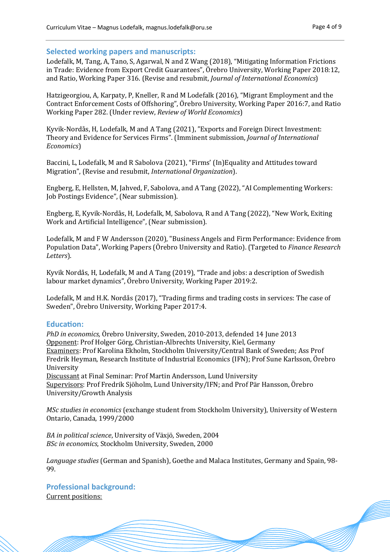#### **Selected working papers and manuscripts:**

Lodefalk, M, Tang, A, Tano, S, Agarwal, N and Z Wang (2018), "Mitigating Information Frictions in Trade: Evidence from Export Credit Guarantees", Örebro University, Working Paper 2018:12, and Ratio, Working Paper 316. (Revise and resubmit, *Journal of International Economics*)

Hatzigeorgiou, A, Karpaty, P, Kneller, R and M Lodefalk (2016), "Migrant Employment and the Contract Enforcement Costs of Offshoring", Örebro University, Working Paper 2016:7, and Ratio Working Paper 282. (Under review, *Review of World Economics*)

Kyvik-Nordås, H, Lodefalk, M and A Tang (2021), "Exports and Foreign Direct Investment: Theory and Evidence for Services Firms". (Imminent submission, *Journal of International Economics*)

Baccini, L, Lodefalk, M and R Sabolova (2021), "Firms' (In)Equality and Attitudes toward Migration", (Revise and resubmit, *International Organization*).

Engberg, E, Hellsten, M, Jahved, F, Sabolova, and A Tang (2022), "AI Complementing Workers: Job Postings Evidence", (Near submission).

Engberg, E, Kyvik-Nordås, H, Lodefalk, M, Sabolova, R and A Tang (2022), "New Work, Exiting Work and Artificial Intelligence", (Near submission).

Lodefalk, M and F W Andersson (2020), "Business Angels and Firm Performance: Evidence from Population Data", Working Papers (Örebro University and Ratio). (Targeted to *Finance Research Letters*).

Kyvik Nordås, H, Lodefalk, M and A Tang (2019), "Trade and jobs: a description of Swedish labour market dynamics", Örebro University, Working Paper 2019:2.

Lodefalk, M and H.K. Nordås (2017), "Trading firms and trading costs in services: The case of Sweden", Örebro University, Working Paper 2017:4.

#### **Education:**

*PhD* in economics, Örebro University, Sweden, 2010-2013, defended 14 June 2013 Opponent: Prof Holger Görg, Christian-Albrechts University, Kiel, Germany Examiners: Prof Karolina Ekholm, Stockholm University/Central Bank of Sweden; Ass Prof Fredrik Heyman, Research Institute of Industrial Economics (IFN); Prof Sune Karlsson, Örebro University Discussant at Final Seminar: Prof Martin Andersson, Lund University

Supervisors: Prof Fredrik Sjöholm, Lund University/IFN; and Prof Pär Hansson, Örebro University/Growth Analysis 

*MSc studies in economics* (exchange student from Stockholm University), University of Western Ontario, Canada, 1999/2000

*BA* in political science, University of Växjö, Sweden, 2004 *BSc in economics*, Stockholm University, Sweden, 2000

Language studies (German and Spanish), Goethe and Malaca Institutes, Germany and Spain, 98-99.

Current positions: **Professional background:**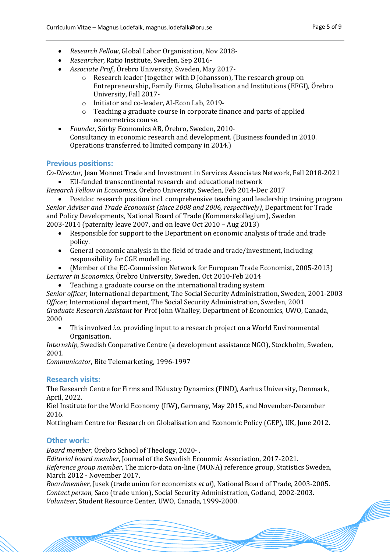- *Research Fellow*, Global Labor Organisation, Nov 2018-
- *Researcher*, Ratio Institute, Sweden, Sep 2016-
- *Associate Prof.*, Örebro University, Sweden, May 2017-
	- $\circ$  Research leader (together with D Johansson), The research group on Entrepreneurship, Family Firms, Globalisation and Institutions (EFGI), Örebro University, Fall 2017-
	- o Initiator and co-leader, AI-Econ Lab, 2019-
	- $\circ$  Teaching a graduate course in corporate finance and parts of applied econometrics course.
- *Founder,* Sörby Economics AB, Örebro, Sweden, 2010-Consultancy in economic research and development. (Business founded in 2010. Operations transferred to limited company in 2014.)

## **Previous positions:**

*Co-Director*, Jean Monnet Trade and Investment in Services Associates Network, Fall 2018-2021

• EU-funded transcontinental research and educational network

*Research Fellow in Economics*, On rebro University, Sweden, Feb 2014-Dec 2017 • Postdoc research position incl. comprehensive teaching and leadership training program *Senior Adviser and Trade Economist (since 2008 and 2006, respectively)*, Department for Trade and Policy Developments, National Board of Trade (Kommerskollegium), Sweden 2003-2014 (paternity leave 2007, and on leave Oct 2010 – Aug 2013)

- Responsible for support to the Department on economic analysis of trade and trade policy.
- General economic analysis in the field of trade and trade/investment, including responsibility for CGE modelling.
- (Member of the EC-Commission Network for European Trade Economist, 2005-2013) Lecturer in *Economics*, Örebro University, Sweden, Oct 2010-Feb 2014
	- Teaching a graduate course on the international trading system

*Senior officer*, International department, The Social Security Administration, Sweden, 2001-2003 *Officer*, International department, The Social Security Administration, Sweden, 2001 *Graduate Research Assistant* for Prof John Whalley, Department of Economics, UWO, Canada, 2000

• This involved *i.a.* providing input to a research project on a World Environmental Organisation.

*Internship*, Swedish Cooperative Centre (a development assistance NGO), Stockholm, Sweden, 2001.

*Communicator*, Bite Telemarketing, 1996-1997

# **Research visits:**

The Research Centre for Firms and INdustry Dynamics (FIND), Aarhus University, Denmark, April, 2022.

Kiel Institute for the World Economy (IfW), Germany, May 2015, and November-December 2016.

Nottingham Centre for Research on Globalisation and Economic Policy (GEP), UK, June 2012.

# **Other work:**

*Board member,* Örebro School of Theology, 2020-.

*Editorial board member*, Journal of the Swedish Economic Association, 2017-2021. *Reference group member*, The micro-data on-line (MONA) reference group, Statistics Sweden,

March 2012 - November 2017.

*Boardmember*, Jusek (trade union for economists *et al*), National Board of Trade, 2003-2005. *Contact person*, Saco (trade union), Social Security Administration, Gotland, 2002-2003. Volunteer, Student Resource Center, UWO, Canada, 1999-2000.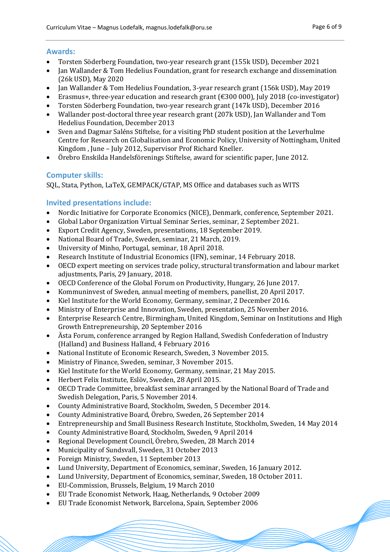# **Awards:**

- Torsten Söderberg Foundation, two-year research grant (155k USD), December 2021
- Jan Wallander & Tom Hedelius Foundation, grant for research exchange and dissemination (26k USD), May 2020
- Jan Wallander & Tom Hedelius Foundation, 3-year research grant (156k USD), May 2019
- Erasmus+, three-year education and research grant  $(\text{\textsterling}300\,000)$ , July 2018 (co-investigator)
- Torsten Söderberg Foundation, two-year research grant (147k USD), December 2016
- Wallander post-doctoral three year research grant (207k USD), Jan Wallander and Tom Hedelius Foundation, December 2013
- Sven and Dagmar Saléns Stiftelse, for a visiting PhD student position at the Leverhulme Centre for Research on Globalisation and Economic Policy, University of Nottingham, United Kingdom , June - July 2012, Supervisor Prof Richard Kneller.
- Örebro Enskilda Handelsförenings Stiftelse, award for scientific paper, June 2012.

# **Computer skills:**

SQL, Stata, Python, LaTeX, GEMPACK/GTAP, MS Office and databases such as WITS

# **Invited presentations include:**

- Nordic Initiative for Corporate Economics (NICE), Denmark, conference, September 2021.
- Global Labor Organization Virtual Seminar Series, seminar, 2 September 2021.
- Export Credit Agency, Sweden, presentations, 18 September 2019.
- National Board of Trade, Sweden, seminar, 21 March, 2019.
- University of Minho, Portugal, seminar, 18 April 2018.
- Research Institute of Industrial Economics (IFN), seminar, 14 February 2018.
- OECD expert meeting on services trade policy, structural transformation and labour market adjustments, Paris, 29 January, 2018.
- OECD Conference of the Global Forum on Productivity, Hungary, 26 June 2017.
- Kommuninvest of Sweden, annual meeting of members, panellist, 20 April 2017.
- Kiel Institute for the World Economy, Germany, seminar, 2 December 2016.
- Ministry of Enterprise and Innovation, Sweden, presentation, 25 November 2016.
- Enterprise Research Centre, Birmingham, United Kingdom, Seminar on Institutions and High Growth Entrepreneurship, 20 September 2016
- Ästa Forum, conference arranged by Region Halland, Swedish Confederation of Industry (Halland) and Business Halland, 4 February 2016
- National Institute of Economic Research, Sweden, 3 November 2015.
- Ministry of Finance, Sweden, seminar, 3 November 2015.
- Kiel Institute for the World Economy, Germany, seminar, 21 May 2015.
- Herbert Felix Institute, Eslöv, Sweden, 28 April 2015.
- OECD Trade Committee, breakfast seminar arranged by the National Board of Trade and Swedish Delegation, Paris, 5 November 2014.
- County Administrative Board, Stockholm, Sweden, 5 December 2014.
- County Administrative Board, Örebro, Sweden, 26 September 2014
- Entrepreneurship and Small Business Research Institute, Stockholm, Sweden, 14 May 2014
- County Administrative Board, Stockholm, Sweden, 9 April 2014
- Regional Development Council, Örebro, Sweden, 28 March 2014
- Municipality of Sundsvall, Sweden, 31 October 2013
- Foreign Ministry, Sweden, 11 September 2013
- Lund University, Department of Economics, seminar, Sweden, 16 January 2012.
- Lund University, Department of Economics, seminar, Sweden, 18 October 2011.
- EU-Commission, Brussels, Belgium, 19 March 2010
- EU Trade Economist Network, Haag, Netherlands, 9 October 2009
- EU Trade Economist Network, Barcelona, Spain, September 2006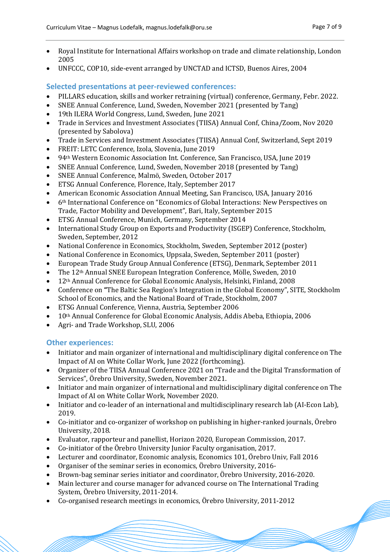- Royal Institute for International Affairs workshop on trade and climate relationship, London 2005
- UNFCCC, COP10, side-event arranged by UNCTAD and ICTSD, Buenos Aires, 2004

# **Selected presenta'ons at peer-reviewed conferences:**

- PILLARS education, skills and worker retraining (virtual) conference, Germany, Febr. 2022.
- SNEE Annual Conference, Lund, Sweden, November 2021 (presented by Tang)
- 19th ILERA World Congress, Lund, Sweden, June 2021
- Trade in Services and Investment Associates (TIISA) Annual Conf, China/Zoom, Nov 2020 (presented by Sabolova)
- Trade in Services and Investment Associates (TIISA) Annual Conf, Switzerland, Sept 2019
- FREIT: LETC Conference, Izola, Slovenia, June 2019
- 94<sup>th</sup> Western Economic Association Int. Conference, San Francisco, USA, June 2019
- SNEE Annual Conference, Lund, Sweden, November 2018 (presented by Tang)
- SNEE Annual Conference, Malmö, Sweden, October 2017
- ETSG Annual Conference, Florence, Italy, September 2017
- American Economic Association Annual Meeting, San Francisco, USA, January 2016
- 6<sup>th</sup> International Conference on "Economics of Global Interactions: New Perspectives on Trade, Factor Mobility and Development", Bari, Italy, September 2015
- ETSG Annual Conference, Munich, Germany, September 2014
- International Study Group on Exports and Productivity (ISGEP) Conference, Stockholm, Sweden, September, 2012
- National Conference in Economics, Stockholm, Sweden, September 2012 (poster)
- National Conference in Economics, Uppsala, Sweden, September 2011 (poster)
- European Trade Study Group Annual Conference (ETSG), Denmark, September 2011
- The 12<sup>th</sup> Annual SNEE European Integration Conference, Mölle, Sweden, 2010
- 12<sup>th</sup> Annual Conference for Global Economic Analysis, Helsinki, Finland, 2008
- Conference on "The Baltic Sea Region's Integration in the Global Economy", SITE, Stockholm School of Economics, and the National Board of Trade, Stockholm, 2007
- ETSG Annual Conference, Vienna, Austria, September 2006
- 10<sup>th</sup> Annual Conference for Global Economic Analysis, Addis Abeba, Ethiopia, 2006
- Agri- and Trade Workshop, SLU, 2006

# **Other experiences:**

- Initiator and main organizer of international and multidisciplinary digital conference on The Impact of AI on White Collar Work, June 2022 (forthcoming).
- Organizer of the TIISA Annual Conference 2021 on "Trade and the Digital Transformation of Services", Örebro University, Sweden, November 2021.
- Initiator and main organizer of international and multidisciplinary digital conference on The Impact of AI on White Collar Work, November 2020.
- Initiator and co-leader of an international and multidisciplinary research lab (AI-Econ Lab), 2019.
- Co-initiator and co-organizer of workshop on publishing in higher-ranked journals, Örebro University, 2018.
- Evaluator, rapporteur and panellist, Horizon 2020, European Commission, 2017.
- Co-initiator of the Örebro University Junior Faculty organisation, 2017.
- Lecturer and coordinator, Economic analysis, Economics 101, Örebro Univ, Fall 2016
- Organiser of the seminar series in economics, Örebro University, 2016-
- Brown-bag seminar series initiator and coordinator, Örebro University, 2016-2020.
- Main lecturer and course manager for advanced course on The International Trading System, Örebro University, 2011-2014.
- Co-organised research meetings in economics, Örebro University, 2011-2012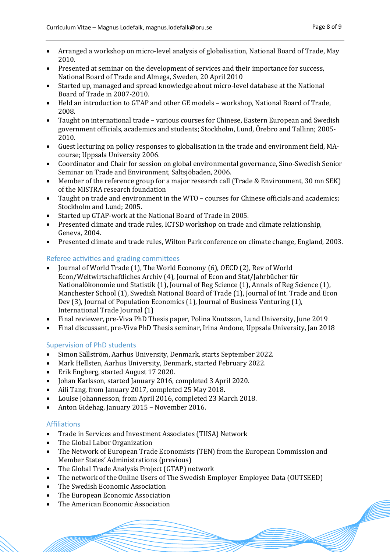- Arranged a workshop on micro-level analysis of globalisation, National Board of Trade, May 2010.
- Presented at seminar on the development of services and their importance for success, National Board of Trade and Almega, Sweden, 20 April 2010
- Started up, managed and spread knowledge about micro-level database at the National Board of Trade in 2007-2010.
- Held an introduction to GTAP and other GE models workshop, National Board of Trade, 2008.
- Taught on international trade various courses for Chinese, Eastern European and Swedish government officials, academics and students; Stockholm, Lund, Örebro and Tallinn; 2005-2010.
- Guest lecturing on policy responses to globalisation in the trade and environment field, MAcourse; Uppsala University 2006.
- Coordinator and Chair for session on global environmental governance, Sino-Swedish Senior Seminar on Trade and Environment, Saltsjöbaden, 2006.
- Member of the reference group for a major research call (Trade & Environment, 30 mn SEK) of the MISTRA research foundation
- Taught on trade and environment in the WTO courses for Chinese officials and academics; Stockholm and Lund: 2005.
- Started up GTAP-work at the National Board of Trade in 2005.
- Presented climate and trade rules, ICTSD workshop on trade and climate relationship. Geneva, 2004.
- Presented climate and trade rules, Wilton Park conference on climate change, England, 2003.

# Referee activities and grading committees

- Journal of World Trade (1), The World Economy (6), OECD (2), Rev of World Econ/Weltwirtschaftliches Archiv (4), Journal of Econ and Stat/Jahrbücher für Nationalökonomie und Statistik (1), Journal of Reg Science (1), Annals of Reg Science (1), Manchester School (1), Swedish National Board of Trade (1), Journal of Int. Trade and Econ Dev (3), Journal of Population Economics (1), Journal of Business Venturing (1), International Trade Journal (1)
- Final reviewer, pre-Viva PhD Thesis paper, Polina Knutsson, Lund University, June 2019
- Final discussant, pre-Viva PhD Thesis seminar, Irina Andone, Uppsala University, Jan 2018

# Supervision of PhD student

- Simon Sällström, Aarhus University, Denmark, starts September 2022.
- Mark Hellsten, Aarhus University, Denmark, started February 2022.
- Erik Engberg, started August 17 2020.
- Johan Karlsson, started January 2016, completed 3 April 2020.
- Aili Tang, from January 2017, completed 25 May 2018.
- Louise Johannesson, from April 2016, completed 23 March 2018.
- Anton Gidehag, January 2015 November 2016.

# **Affiliations**

- Trade in Services and Investment Associates (TIISA) Network
- The Global Labor Organization
- The Network of European Trade Economists (TEN) from the European Commission and Member States' Administrations (previous)
- The Global Trade Analysis Project (GTAP) network
- The network of the Online Users of The Swedish Employer Employee Data (OUTSEED)
- The Swedish Economic Association
- The European Economic Association
- The American Economic Association